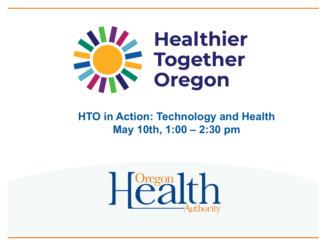

#### **HTO in Action: Technology and Health May 10th, 1:00 – 2:30 pm**

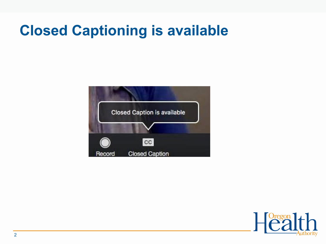### **Closed Captioning is available**



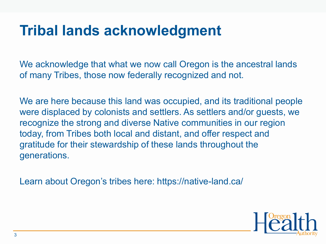### **Tribal lands acknowledgment**

We acknowledge that what we now call Oregon is the ancestral lands of many Tribes, those now federally recognized and not.

We are here because this land was occupied, and its traditional people were displaced by colonists and settlers. As settlers and/or guests, we recognize the strong and diverse Native communities in our region today, from Tribes both local and distant, and offer respect and gratitude for their stewardship of these lands throughout the generations.

Learn about Oregon's tribes here: https://native-land.ca/

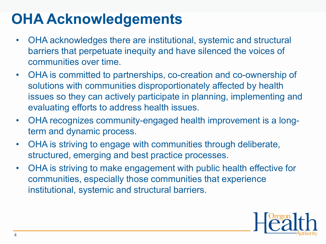### **OHA Acknowledgements**

- OHA acknowledges there are institutional, systemic and structural barriers that perpetuate inequity and have silenced the voices of communities over time.
- OHA is committed to partnerships, co-creation and co-ownership of solutions with communities disproportionately affected by health issues so they can actively participate in planning, implementing and evaluating efforts to address health issues.
- OHA recognizes community-engaged health improvement is a longterm and dynamic process.
- OHA is striving to engage with communities through deliberate, structured, emerging and best practice processes.
- OHA is striving to make engagement with public health effective for communities, especially those communities that experience institutional, systemic and structural barriers.

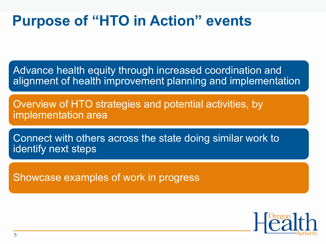### **Purpose of "HTO in Action" events**

Advance health equity through increased coordination and alignment of health improvement planning and implementation

Overview of HTO strategies and potential activities, by implementation area

Connect with others across the state doing similar work to identify next steps

Showcase examples of work in progress

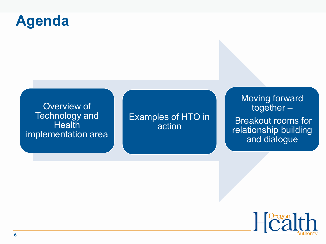### **Agenda**

Overview of Technology and **Health** implementation area

Examples of HTO in action

Moving forward together –

Breakout rooms for relationship building and dialogue

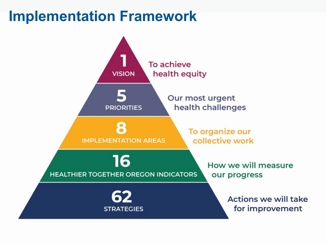### **Implementation Framework**

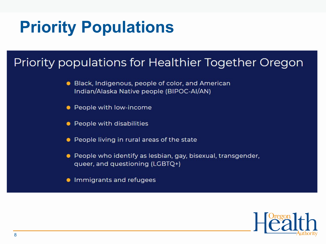### **Priority Populations**

#### Priority populations for Healthier Together Oregon

- Black, Indigenous, people of color, and American Indian/Alaska Native people (BIPOC-AI/AN)
- People with low-income
- People with disabilities
- People living in rural areas of the state
- People who identify as lesbian, gay, bisexual, transgender, queer, and questioning (LGBTQ+)
- **•** Immigrants and refugees

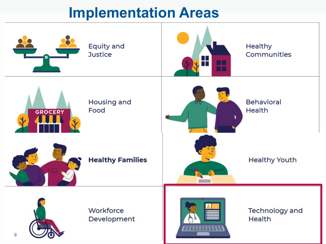### **Implementation Areas**

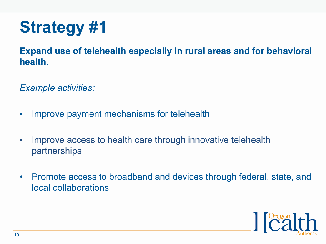## **Strategy #1**

**Expand use of telehealth especially in rural areas and for behavioral health.**

*Example activities:*

- Improve payment mechanisms for telehealth
- Improve access to health care through innovative telehealth partnerships
- Promote access to broadband and devices through federal, state, and local collaborations

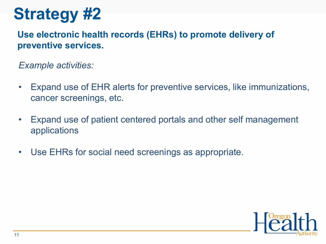## **Strategy #2**

**Use electronic health records (EHRs) to promote delivery of preventive services.**

*Example activities:*

- Expand use of EHR alerts for preventive services, like immunizations, cancer screenings, etc.
- Expand use of patient centered portals and other self management applications
- Use EHRs for social need screenings as appropriate.

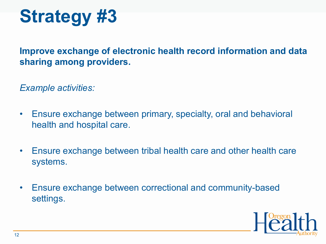

**Improve exchange of electronic health record information and data sharing among providers.**

*Example activities:*

- Ensure exchange between primary, specialty, oral and behavioral health and hospital care.
- Ensure exchange between tribal health care and other health care systems.
- Ensure exchange between correctional and community-based settings.

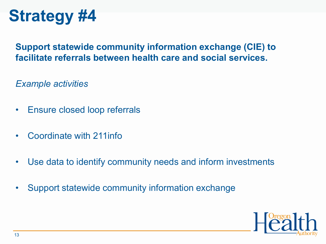## **Strategy #4**

#### **Support statewide community information exchange (CIE) to facilitate referrals between health care and social services.**

*Example activities*

- Ensure closed loop referrals
- Coordinate with 211info
- Use data to identify community needs and inform investments
- Support statewide community information exchange

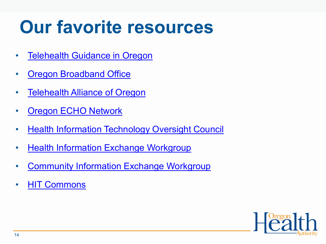## **Our favorite resources**

- [Telehealth Guidance in Oregon](https://www.oregon.gov/biz/programs/Oregon_Broadband_Office/Pages/default.aspx)
- [Oregon Broadband Office](https://www.oregon.gov/biz/programs/Oregon_Broadband_Office/Pages/default.aspx)
- [Telehealth Alliance of Oregon](https://www.ortelehealth.org/)
- [Oregon ECHO Network](https://www.oregonechonetwork.org/)
- [Health Information Technology Oversight Council](https://www.oregon.gov/biz/programs/Oregon_Broadband_Office/Pages/default.aspx)
- [Health Information Exchange Workgroup](https://www.oregon.gov/oha/HPA/OHIT-HITOC/Pages/HIEworkgroup.aspx)
- [Community Information Exchange Workgroup](https://www.oregon.gov/oha/HPA/OHIT-HITOC/Pages/CIEworkgroup.aspx)
- [HIT Commons](https://pdxedu.maps.arcgis.com/apps/MapSeries/index.html?appid=a9b4fbd305094c769387127521b6250e)

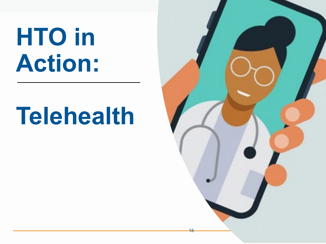# **HTO in Action:**

# **Telehealth**

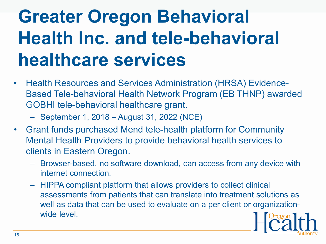## **Greater Oregon Behavioral Health Inc. and tele-behavioral healthcare services**

- Health Resources and Services Administration (HRSA) Evidence-Based Tele-behavioral Health Network Program (EB THNP) awarded GOBHI tele-behavioral healthcare grant.
	- September 1, 2018 August 31, 2022 (NCE)
- Grant funds purchased Mend tele-health platform for Community Mental Health Providers to provide behavioral health services to clients in Eastern Oregon.
	- Browser-based, no software download, can access from any device with internet connection.
	- HIPPA compliant platform that allows providers to collect clinical assessments from patients that can translate into treatment solutions as well as data that can be used to evaluate on a per client or organizationwide level.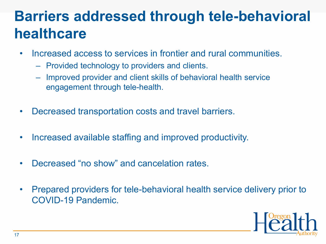### **Barriers addressed through tele-behavioral healthcare**

- Increased access to services in frontier and rural communities.
	- Provided technology to providers and clients.
	- Improved provider and client skills of behavioral health service engagement through tele-health.
- Decreased transportation costs and travel barriers.
- Increased available staffing and improved productivity.
- Decreased "no show" and cancelation rates.
- Prepared providers for tele-behavioral health service delivery prior to COVID-19 Pandemic.

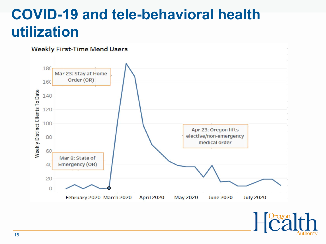### **COVID-19 and tele-behavioral health utilization**



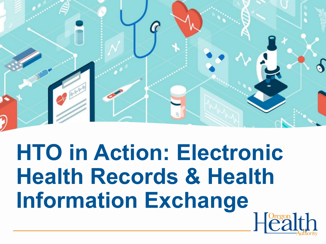

**HTO in Action: Electronic Health Records & Health Information Exchange**  $\left[\stackrel{texon}{2} \right]$  th

19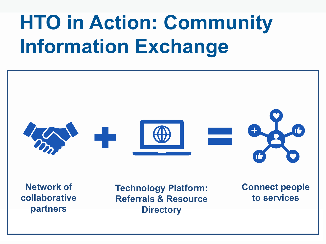## **HTO in Action: Community Information Exchange**



**Network of collaborative partners**

**Technology Platform: Referrals & Resource Directory**

**Connect people to services**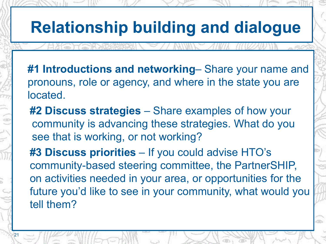## **Relationship building and dialogue**

- **#1 Introductions and networking** Share your name and pronouns, role or agency, and where in the state you are located.
- **#2 Discuss strategies**  Share examples of how your community is advancing these strategies. What do you see that is working, or not working?
- **#3 Discuss priorities**  If you could advise HTO's community-based steering committee, the PartnerSHIP, on activities needed in your area, or opportunities for the future you'd like to see in your community, what would you tell them?

21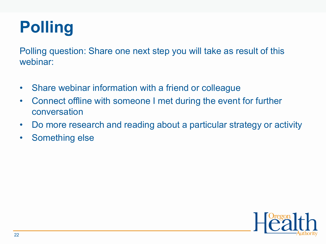## **Polling**

Polling question: Share one next step you will take as result of this webinar:

- Share webinar information with a friend or colleague
- Connect offline with someone I met during the event for further conversation
- Do more research and reading about a particular strategy or activity
- Something else